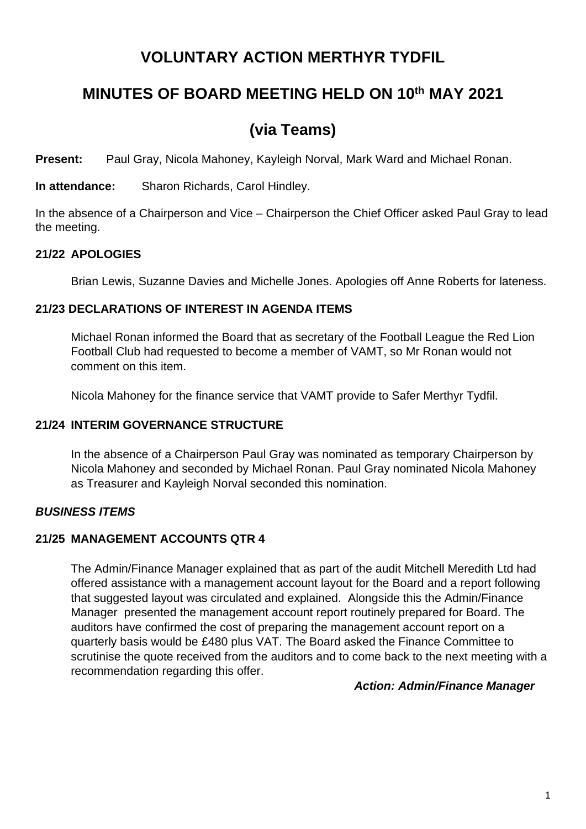# **VOLUNTARY ACTION MERTHYR TYDFIL**

# **MINUTES OF BOARD MEETING HELD ON 10th MAY 2021**

# **(via Teams)**

**Present:** Paul Gray, Nicola Mahoney, Kayleigh Norval, Mark Ward and Michael Ronan.

**In attendance:** Sharon Richards, Carol Hindley.

In the absence of a Chairperson and Vice – Chairperson the Chief Officer asked Paul Gray to lead the meeting.

# **21/22 APOLOGIES**

Brian Lewis, Suzanne Davies and Michelle Jones. Apologies off Anne Roberts for lateness.

## **21/23 DECLARATIONS OF INTEREST IN AGENDA ITEMS**

Michael Ronan informed the Board that as secretary of the Football League the Red Lion Football Club had requested to become a member of VAMT, so Mr Ronan would not comment on this item.

Nicola Mahoney for the finance service that VAMT provide to Safer Merthyr Tydfil.

# **21/24 INTERIM GOVERNANCE STRUCTURE**

In the absence of a Chairperson Paul Gray was nominated as temporary Chairperson by Nicola Mahoney and seconded by Michael Ronan. Paul Gray nominated Nicola Mahoney as Treasurer and Kayleigh Norval seconded this nomination.

# *BUSINESS ITEMS*

# **21/25 MANAGEMENT ACCOUNTS QTR 4**

The Admin/Finance Manager explained that as part of the audit Mitchell Meredith Ltd had offered assistance with a management account layout for the Board and a report following that suggested layout was circulated and explained. Alongside this the Admin/Finance Manager presented the management account report routinely prepared for Board. The auditors have confirmed the cost of preparing the management account report on a quarterly basis would be £480 plus VAT. The Board asked the Finance Committee to scrutinise the quote received from the auditors and to come back to the next meeting with a recommendation regarding this offer.

## *Action: Admin/Finance Manager*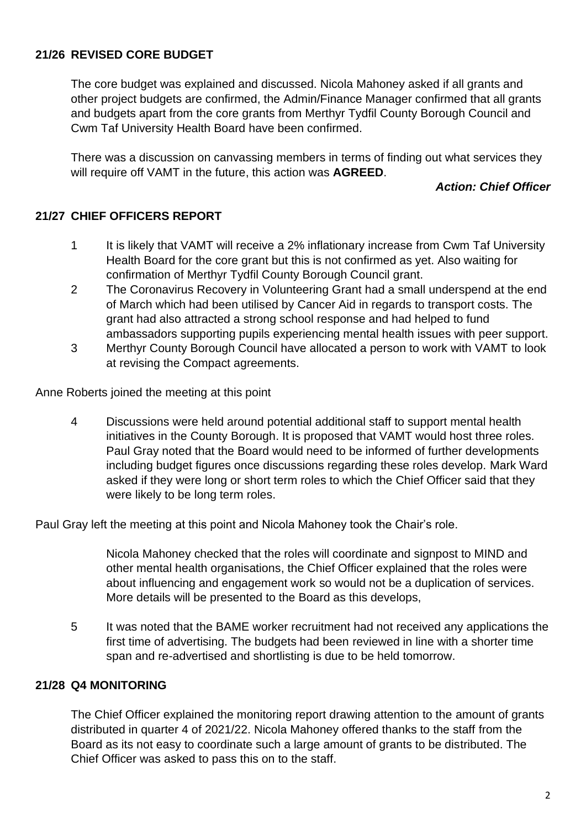## **21/26 REVISED CORE BUDGET**

The core budget was explained and discussed. Nicola Mahoney asked if all grants and other project budgets are confirmed, the Admin/Finance Manager confirmed that all grants and budgets apart from the core grants from Merthyr Tydfil County Borough Council and Cwm Taf University Health Board have been confirmed.

There was a discussion on canvassing members in terms of finding out what services they will require off VAMT in the future, this action was **AGREED**.

### *Action: Chief Officer*

## **21/27 CHIEF OFFICERS REPORT**

- 1 It is likely that VAMT will receive a 2% inflationary increase from Cwm Taf University Health Board for the core grant but this is not confirmed as yet. Also waiting for confirmation of Merthyr Tydfil County Borough Council grant.
- 2 The Coronavirus Recovery in Volunteering Grant had a small underspend at the end of March which had been utilised by Cancer Aid in regards to transport costs. The grant had also attracted a strong school response and had helped to fund ambassadors supporting pupils experiencing mental health issues with peer support.
- 3 Merthyr County Borough Council have allocated a person to work with VAMT to look at revising the Compact agreements.

Anne Roberts joined the meeting at this point

4 Discussions were held around potential additional staff to support mental health initiatives in the County Borough. It is proposed that VAMT would host three roles. Paul Gray noted that the Board would need to be informed of further developments including budget figures once discussions regarding these roles develop. Mark Ward asked if they were long or short term roles to which the Chief Officer said that they were likely to be long term roles.

Paul Gray left the meeting at this point and Nicola Mahoney took the Chair's role.

Nicola Mahoney checked that the roles will coordinate and signpost to MIND and other mental health organisations, the Chief Officer explained that the roles were about influencing and engagement work so would not be a duplication of services. More details will be presented to the Board as this develops,

5 It was noted that the BAME worker recruitment had not received any applications the first time of advertising. The budgets had been reviewed in line with a shorter time span and re-advertised and shortlisting is due to be held tomorrow.

## **21/28 Q4 MONITORING**

The Chief Officer explained the monitoring report drawing attention to the amount of grants distributed in quarter 4 of 2021/22. Nicola Mahoney offered thanks to the staff from the Board as its not easy to coordinate such a large amount of grants to be distributed. The Chief Officer was asked to pass this on to the staff.